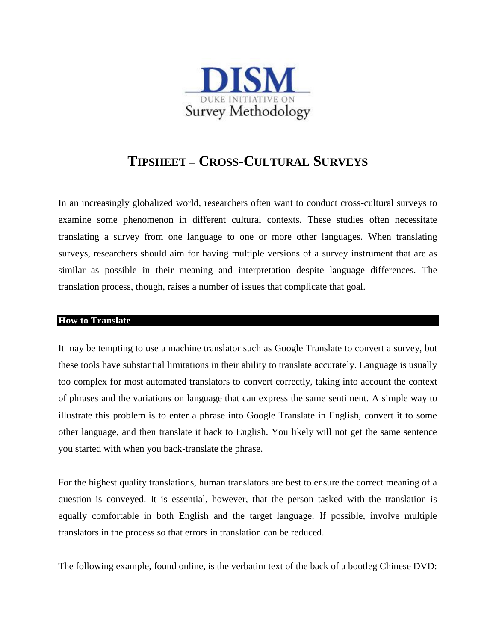

# **TIPSHEET – CROSS-CULTURAL SURVEYS**

In an increasingly globalized world, researchers often want to conduct cross-cultural surveys to examine some phenomenon in different cultural contexts. These studies often necessitate translating a survey from one language to one or more other languages. When translating surveys, researchers should aim for having multiple versions of a survey instrument that are as similar as possible in their meaning and interpretation despite language differences. The translation process, though, raises a number of issues that complicate that goal.

## **How to Translate**

It may be tempting to use a machine translator such as Google Translate to convert a survey, but these tools have substantial limitations in their ability to translate accurately. Language is usually too complex for most automated translators to convert correctly, taking into account the context of phrases and the variations on language that can express the same sentiment. A simple way to illustrate this problem is to enter a phrase into Google Translate in English, convert it to some other language, and then translate it back to English. You likely will not get the same sentence you started with when you back-translate the phrase.

For the highest quality translations, human translators are best to ensure the correct meaning of a question is conveyed. It is essential, however, that the person tasked with the translation is equally comfortable in both English and the target language. If possible, involve multiple translators in the process so that errors in translation can be reduced.

The following example, found online, is the verbatim text of the back of a bootleg Chinese DVD: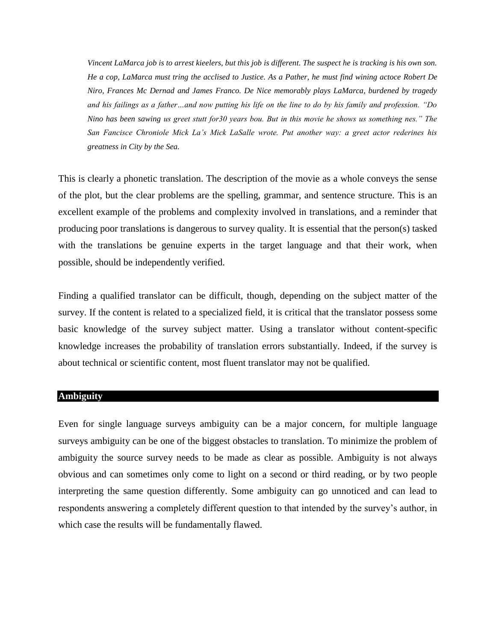*Vincent LaMarca job is to arrest kieelers, but this job is different. The suspect he is tracking is his own son. He a cop, LaMarca must tring the acclised to Justice. As a Pather, he must find wining actoce Robert De Niro, Frances Mc Dernad and James Franco. De Nice memorably plays LaMarca, burdened by tragedy and his failings as a father…and now putting his life on the line to do by his family and profession. "Do Nino has been sawing us greet stutt for30 years bou. But in this movie he shows us something nes." The San Fancisce Chroniole Mick La's Mick LaSalle wrote. Put another way: a greet actor rederines his greatness in City by the Sea.*

This is clearly a phonetic translation. The description of the movie as a whole conveys the sense of the plot, but the clear problems are the spelling, grammar, and sentence structure. This is an excellent example of the problems and complexity involved in translations, and a reminder that producing poor translations is dangerous to survey quality. It is essential that the person(s) tasked with the translations be genuine experts in the target language and that their work, when possible, should be independently verified.

Finding a qualified translator can be difficult, though, depending on the subject matter of the survey. If the content is related to a specialized field, it is critical that the translator possess some basic knowledge of the survey subject matter. Using a translator without content-specific knowledge increases the probability of translation errors substantially. Indeed, if the survey is about technical or scientific content, most fluent translator may not be qualified.

### **Ambiguity**

Even for single language surveys ambiguity can be a major concern, for multiple language surveys ambiguity can be one of the biggest obstacles to translation. To minimize the problem of ambiguity the source survey needs to be made as clear as possible. Ambiguity is not always obvious and can sometimes only come to light on a second or third reading, or by two people interpreting the same question differently. Some ambiguity can go unnoticed and can lead to respondents answering a completely different question to that intended by the survey's author, in which case the results will be fundamentally flawed.